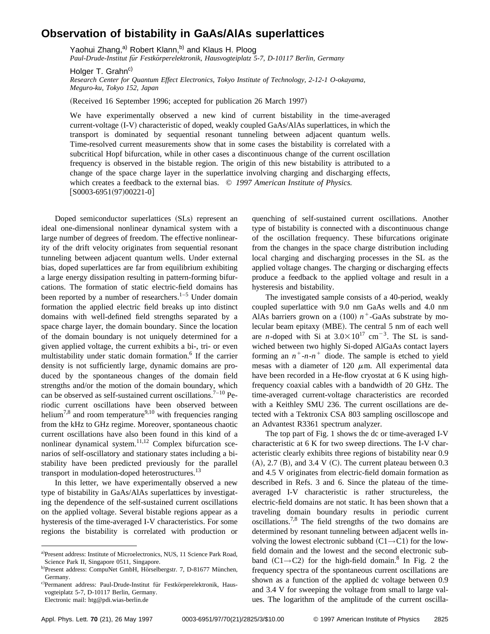## **Observation of bistability in GaAs/AlAs superlattices**

Yaohui Zhang,<sup>a)</sup> Robert Klann,<sup>b)</sup> and Klaus H. Ploog *Paul-Drude-Institut fu¨r Festko¨rperelektronik, Hausvogteiplatz 5-7, D-10117 Berlin, Germany*

Holger T. Grahn<sup>c)</sup>

*Research Center for Quantum Effect Electronics, Tokyo Institute of Technology, 2-12-1 O-okayama, Meguro-ku, Tokyo 152, Japan*

(Received 16 September 1996; accepted for publication 26 March 1997)

We have experimentally observed a new kind of current bistability in the time-averaged current-voltage (I-V) characteristic of doped, weakly coupled GaAs/AlAs superlattices, in which the transport is dominated by sequential resonant tunneling between adjacent quantum wells. Time-resolved current measurements show that in some cases the bistability is correlated with a subcritical Hopf bifurcation, while in other cases a discontinuous change of the current oscillation frequency is observed in the bistable region. The origin of this new bistability is attributed to a change of the space charge layer in the superlattice involving charging and discharging effects, which creates a feedback to the external bias. © *1997 American Institute of Physics.*  $[50003-6951(97)00221-0]$ 

Doped semiconductor superlattices (SLs) represent an ideal one-dimensional nonlinear dynamical system with a large number of degrees of freedom. The effective nonlinearity of the drift velocity originates from sequential resonant tunneling between adjacent quantum wells. Under external bias, doped superlattices are far from equilibrium exhibiting a large energy dissipation resulting in pattern-forming bifurcations. The formation of static electric-field domains has been reported by a number of researchers.<sup>1–5</sup> Under domain formation the applied electric field breaks up into distinct domains with well-defined field strengths separated by a space charge layer, the domain boundary. Since the location of the domain boundary is not uniquely determined for a given applied voltage, the current exhibits a bi-, tri- or even multistability under static domain formation.<sup>6</sup> If the carrier density is not sufficiently large, dynamic domains are produced by the spontaneous changes of the domain field strengths and/or the motion of the domain boundary, which can be observed as self-sustained current oscillations.<sup>7–10</sup> Periodic current oscillations have been observed between helium<sup>7,8</sup> and room temperature<sup>9,10</sup> with frequencies ranging from the kHz to GHz regime. Moreover, spontaneous chaotic current oscillations have also been found in this kind of a nonlinear dynamical system.<sup>11,12</sup> Complex bifurcation scenarios of self-oscillatory and stationary states including a bistability have been predicted previously for the parallel transport in modulation-doped heterostructures.<sup>13</sup>

In this letter, we have experimentally observed a new type of bistability in GaAs/AlAs superlattices by investigating the dependence of the self-sustained current oscillations on the applied voltage. Several bistable regions appear as a hysteresis of the time-averaged I-V characteristics. For some regions the bistability is correlated with production or

Electronic mail: htg@pdi.wias-berlin.de

quenching of self-sustained current oscillations. Another type of bistability is connected with a discontinuous change of the oscillation frequency. These bifurcations originate from the changes in the space charge distribution including local charging and discharging processes in the SL as the applied voltage changes. The charging or discharging effects produce a feedback to the applied voltage and result in a hysteresis and bistability.

The investigated sample consists of a 40-period, weakly coupled superlattice with 9.0 nm GaAs wells and 4.0 nm AlAs barriers grown on a  $(100)$   $n^+$ -GaAs substrate by molecular beam epitaxy (MBE). The central 5 nm of each well are *n*-doped with Si at  $3.0 \times 10^{17}$  cm<sup>-3</sup>. The SL is sandwiched between two highly Si-doped AlGaAs contact layers forming an  $n^+$ - $n$ - $n^+$  diode. The sample is etched to yield mesas with a diameter of 120  $\mu$ m. All experimental data have been recorded in a He-flow cryostat at 6 K using highfrequency coaxial cables with a bandwidth of 20 GHz. The time-averaged current-voltage characteristics are recorded with a Keithley SMU 236. The current oscillations are detected with a Tektronix CSA 803 sampling oscilloscope and an Advantest R3361 spectrum analyzer.

The top part of Fig. 1 shows the dc or time-averaged I-V characteristic at 6 K for two sweep directions. The I-V characteristic clearly exhibits three regions of bistability near 0.9  $(A), 2.7$   $(B),$  and 3.4 V  $(C)$ . The current plateau between 0.3 and 4.5 V originates from electric-field domain formation as described in Refs. 3 and 6. Since the plateau of the timeaveraged I-V characteristic is rather structureless, the electric-field domains are not static. It has been shown that a traveling domain boundary results in periodic current oscillations.7,8 The field strengths of the two domains are determined by resonant tunneling between adjacent wells involving the lowest electronic subband  $(C1 \rightarrow C1)$  for the lowfield domain and the lowest and the second electronic subband  $(C1 \rightarrow C2)$  for the high-field domain.<sup>8</sup> In Fig. 2 the frequency spectra of the spontaneous current oscillations are shown as a function of the applied dc voltage between 0.9 and 3.4 V for sweeping the voltage from small to large values. The logarithm of the amplitude of the current oscilla-

a)Present address: Institute of Microelectronics, NUS, 11 Science Park Road, Science Park II, Singapore 0511, Singapore.

b)Present address: CompuNet GmbH, Hörselbergstr. 7, D-81677 München, Germany.

c)Permanent address: Paul-Drude-Institut für Festkörperelektronik, Hausvogteiplatz 5-7, D-10117 Berlin, Germany.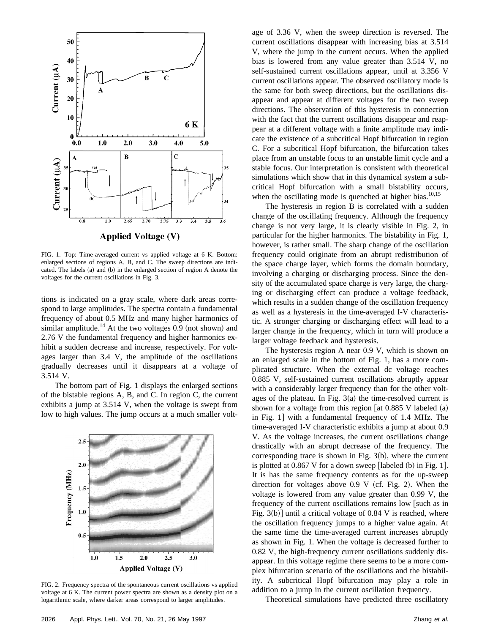

FIG. 1. Top: Time-averaged current vs applied voltage at 6 K. Bottom: enlarged sections of regions A, B, and C. The sweep directions are indicated. The labels  $(a)$  and  $(b)$  in the enlarged section of region A denote the voltages for the current oscillations in Fig. 3.

tions is indicated on a gray scale, where dark areas correspond to large amplitudes. The spectra contain a fundamental frequency of about 0.5 MHz and many higher harmonics of similar amplitude.<sup>14</sup> At the two voltages 0.9 (not shown) and 2.76 V the fundamental frequency and higher harmonics exhibit a sudden decrease and increase, respectively. For voltages larger than 3.4 V, the amplitude of the oscillations gradually decreases until it disappears at a voltage of 3.514 V.

The bottom part of Fig. 1 displays the enlarged sections of the bistable regions A, B, and C. In region C, the current exhibits a jump at 3.514 V, when the voltage is swept from low to high values. The jump occurs at a much smaller volt-



FIG. 2. Frequency spectra of the spontaneous current oscillations vs applied voltage at 6 K. The current power spectra are shown as a density plot on a logarithmic scale, where darker areas correspond to larger amplitudes.

age of 3.36 V, when the sweep direction is reversed. The current oscillations disappear with increasing bias at 3.514 V, where the jump in the current occurs. When the applied bias is lowered from any value greater than 3.514 V, no self-sustained current oscillations appear, until at 3.356 V current oscillations appear. The observed oscillatory mode is the same for both sweep directions, but the oscillations disappear and appear at different voltages for the two sweep directions. The observation of this hysteresis in connection with the fact that the current oscillations disappear and reappear at a different voltage with a finite amplitude may indicate the existence of a subcritical Hopf bifurcation in region C. For a subcritical Hopf bifurcation, the bifurcation takes place from an unstable focus to an unstable limit cycle and a stable focus. Our interpretation is consistent with theoretical simulations which show that in this dynamical system a subcritical Hopf bifurcation with a small bistability occurs, when the oscillating mode is quenched at higher bias. $10,15$ 

The hysteresis in region B is correlated with a sudden change of the oscillating frequency. Although the frequency change is not very large, it is clearly visible in Fig. 2, in particular for the higher harmonics. The bistability in Fig. 1, however, is rather small. The sharp change of the oscillation frequency could originate from an abrupt redistribution of the space charge layer, which forms the domain boundary, involving a charging or discharging process. Since the density of the accumulated space charge is very large, the charging or discharging effect can produce a voltage feedback, which results in a sudden change of the oscillation frequency as well as a hysteresis in the time-averaged I-V characteristic. A stronger charging or discharging effect will lead to a larger change in the frequency, which in turn will produce a larger voltage feedback and hysteresis.

The hysteresis region A near 0.9 V, which is shown on an enlarged scale in the bottom of Fig. 1, has a more complicated structure. When the external dc voltage reaches 0.885 V, self-sustained current oscillations abruptly appear with a considerably larger frequency than for the other voltages of the plateau. In Fig.  $3(a)$  the time-resolved current is shown for a voltage from this region  $\lceil \det 0.885 \, \text{V} \rceil$  labeled  $\lceil \det 0.885 \, \text{V} \rceil$ in Fig. 1] with a fundamental frequency of 1.4 MHz. The time-averaged I-V characteristic exhibits a jump at about 0.9 V. As the voltage increases, the current oscillations change drastically with an abrupt decrease of the frequency. The corresponding trace is shown in Fig.  $3(b)$ , where the current is plotted at  $0.867$  V for a down sweep [labeled (b) in Fig. 1]. It is has the same frequency contents as for the up-sweep direction for voltages above  $0.9 V$  (cf. Fig. 2). When the voltage is lowered from any value greater than 0.99 V, the frequency of the current oscillations remains low  $\lceil$  such as in Fig.  $3(b)$ ] until a critical voltage of 0.84 V is reached, where the oscillation frequency jumps to a higher value again. At the same time the time-averaged current increases abruptly as shown in Fig. 1. When the voltage is decreased further to 0.82 V, the high-frequency current oscillations suddenly disappear. In this voltage regime there seems to be a more complex bifurcation scenario of the oscillations and the bistability. A subcritical Hopf bifurcation may play a role in addition to a jump in the current oscillation frequency.

Theoretical simulations have predicted three oscillatory